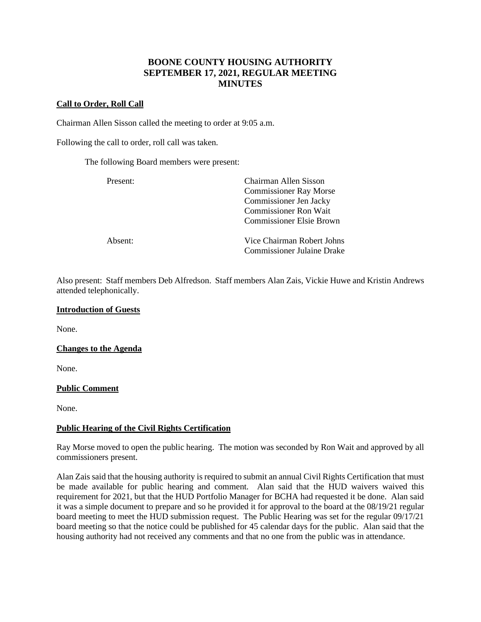# **BOONE COUNTY HOUSING AUTHORITY SEPTEMBER 17, 2021, REGULAR MEETING MINUTES**

## **Call to Order, Roll Call**

Chairman Allen Sisson called the meeting to order at 9:05 a.m.

Following the call to order, roll call was taken.

The following Board members were present:

| Present: | Chairman Allen Sisson             |  |
|----------|-----------------------------------|--|
|          | <b>Commissioner Ray Morse</b>     |  |
|          | Commissioner Jen Jacky            |  |
|          | <b>Commissioner Ron Wait</b>      |  |
|          | <b>Commissioner Elsie Brown</b>   |  |
| Absent:  | Vice Chairman Robert Johns        |  |
|          | <b>Commissioner Julaine Drake</b> |  |

Also present: Staff members Deb Alfredson. Staff members Alan Zais, Vickie Huwe and Kristin Andrews attended telephonically.

#### **Introduction of Guests**

None.

**Changes to the Agenda**

None.

## **Public Comment**

None.

## **Public Hearing of the Civil Rights Certification**

Ray Morse moved to open the public hearing. The motion was seconded by Ron Wait and approved by all commissioners present.

Alan Zais said that the housing authority is required to submit an annual Civil Rights Certification that must be made available for public hearing and comment. Alan said that the HUD waivers waived this requirement for 2021, but that the HUD Portfolio Manager for BCHA had requested it be done. Alan said it was a simple document to prepare and so he provided it for approval to the board at the 08/19/21 regular board meeting to meet the HUD submission request. The Public Hearing was set for the regular 09/17/21 board meeting so that the notice could be published for 45 calendar days for the public. Alan said that the housing authority had not received any comments and that no one from the public was in attendance.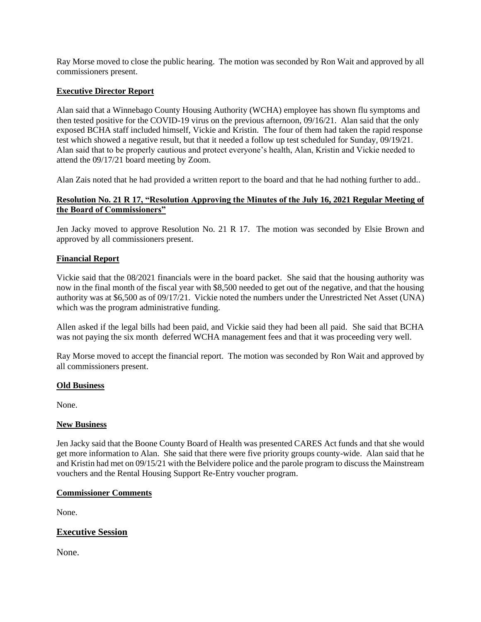Ray Morse moved to close the public hearing. The motion was seconded by Ron Wait and approved by all commissioners present.

## **Executive Director Report**

Alan said that a Winnebago County Housing Authority (WCHA) employee has shown flu symptoms and then tested positive for the COVID-19 virus on the previous afternoon, 09/16/21. Alan said that the only exposed BCHA staff included himself, Vickie and Kristin. The four of them had taken the rapid response test which showed a negative result, but that it needed a follow up test scheduled for Sunday, 09/19/21. Alan said that to be properly cautious and protect everyone's health, Alan, Kristin and Vickie needed to attend the 09/17/21 board meeting by Zoom.

Alan Zais noted that he had provided a written report to the board and that he had nothing further to add..

## **Resolution No. 21 R 17, "Resolution Approving the Minutes of the July 16, 2021 Regular Meeting of the Board of Commissioners"**

Jen Jacky moved to approve Resolution No. 21 R 17. The motion was seconded by Elsie Brown and approved by all commissioners present.

## **Financial Report**

Vickie said that the 08/2021 financials were in the board packet. She said that the housing authority was now in the final month of the fiscal year with \$8,500 needed to get out of the negative, and that the housing authority was at \$6,500 as of 09/17/21. Vickie noted the numbers under the Unrestricted Net Asset (UNA) which was the program administrative funding.

Allen asked if the legal bills had been paid, and Vickie said they had been all paid. She said that BCHA was not paying the six month deferred WCHA management fees and that it was proceeding very well.

Ray Morse moved to accept the financial report. The motion was seconded by Ron Wait and approved by all commissioners present.

## **Old Business**

None.

## **New Business**

Jen Jacky said that the Boone County Board of Health was presented CARES Act funds and that she would get more information to Alan. She said that there were five priority groups county-wide. Alan said that he and Kristin had met on 09/15/21 with the Belvidere police and the parole program to discuss the Mainstream vouchers and the Rental Housing Support Re-Entry voucher program.

## **Commissioner Comments**

None.

## **Executive Session**

None.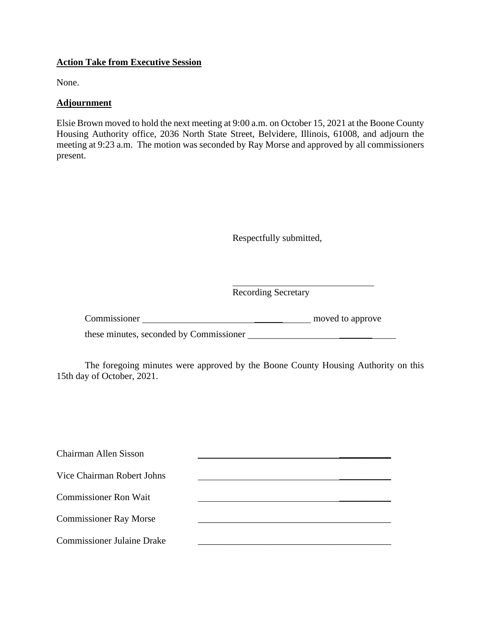## **Action Take from Executive Session**

None.

# **Adjournment**

Elsie Brown moved to hold the next meeting at 9:00 a.m. on October 15, 2021 at the Boone County Housing Authority office, 2036 North State Street, Belvidere, Illinois, 61008, and adjourn the meeting at 9:23 a.m. The motion was seconded by Ray Morse and approved by all commissioners present.

Respectfully submitted,

Recording Secretary

| Commissioner | moved to approve |
|--------------|------------------|
|              |                  |

these minutes, seconded by Commissioner **with a controller of the seconded** by Commissioner

The foregoing minutes were approved by the Boone County Housing Authority on this 15th day of October, 2021.

| Chairman Allen Sisson             |  |
|-----------------------------------|--|
| Vice Chairman Robert Johns        |  |
| <b>Commissioner Ron Wait</b>      |  |
|                                   |  |
| <b>Commissioner Ray Morse</b>     |  |
| <b>Commissioner Julaine Drake</b> |  |